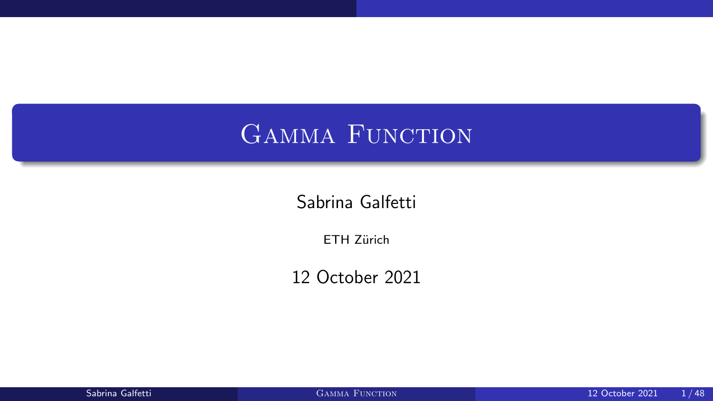## <span id="page-0-0"></span>GAMMA FUNCTION

Sabrina Galfetti

ETH Zürich

12 October 2021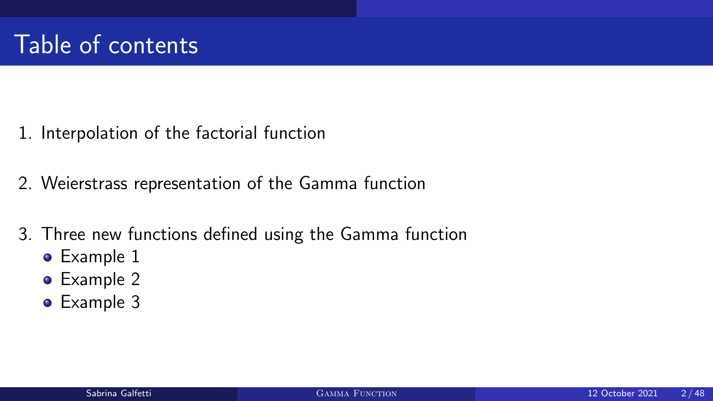- 1. [Interpolation of the factorial function](#page-2-0)
- 2. [Weierstrass representation of the Gamma function](#page-18-0)
- 3. [Three new functions defined using the Gamma function](#page-28-0)
	- [Example 1](#page-29-0)
	- [Example 2](#page-34-0)
	- [Example 3](#page-39-0)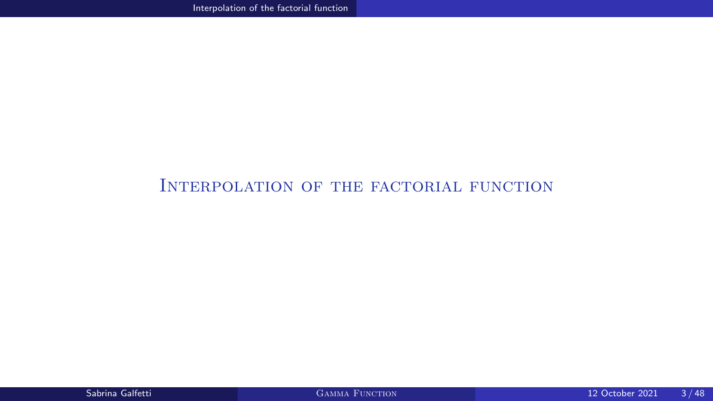#### <span id="page-2-0"></span>[Interpolation of the factorial function](#page-2-0)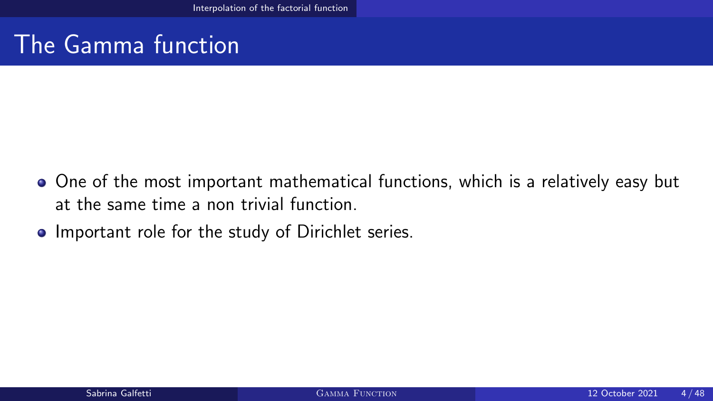## The Gamma function

- One of the most important mathematical functions, which is a relatively easy but at the same time a non trivial function.
- Important role for the study of Dirichlet series.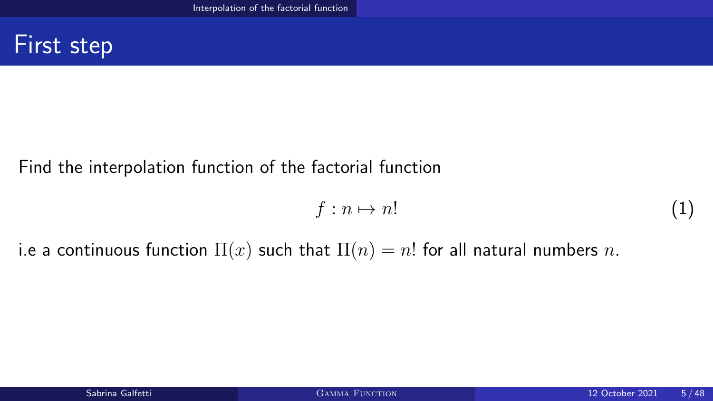#### First step

#### Find the interpolation function of the factorial function

$$
f: n \mapsto n! \tag{1}
$$

i.e a continuous function  $\Pi(x)$  such that  $\Pi(n) = n!$  for all natural numbers n.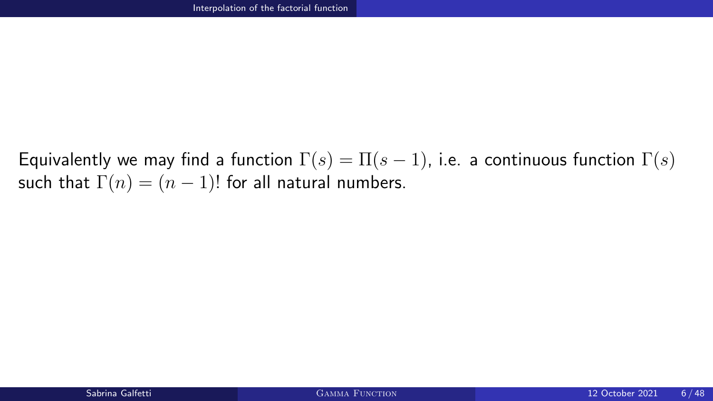Equivalently we may find a function  $\Gamma(s) = \Pi(s-1)$ , i.e. a continuous function  $\Gamma(s)$ such that  $\Gamma(n) = (n-1)!$  for all natural numbers.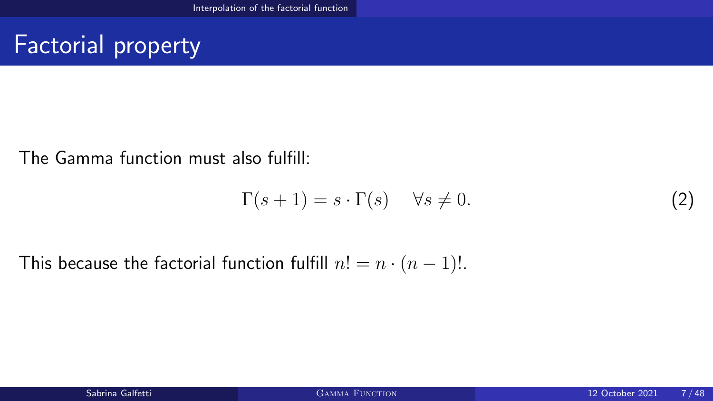## Factorial property

The Gamma function must also fulfill:

<span id="page-6-0"></span>
$$
\Gamma(s+1) = s \cdot \Gamma(s) \quad \forall s \neq 0. \tag{2}
$$

This because the factorial function fulfill  $n! = n \cdot (n-1)!$ .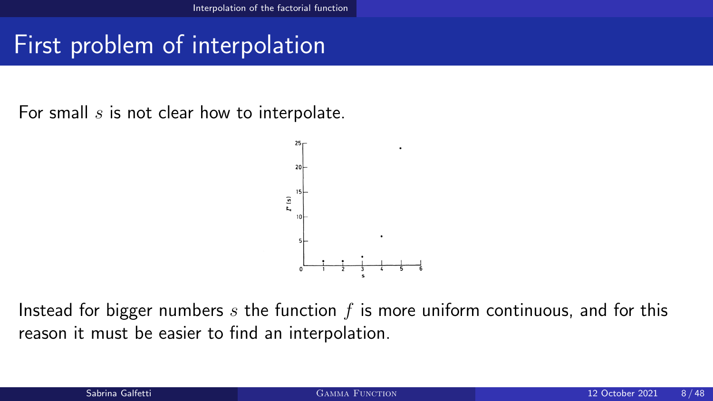## First problem of interpolation

For small  $s$  is not clear how to interpolate.



Instead for bigger numbers  $s$  the function  $f$  is more uniform continuous, and for this reason it must be easier to find an interpolation.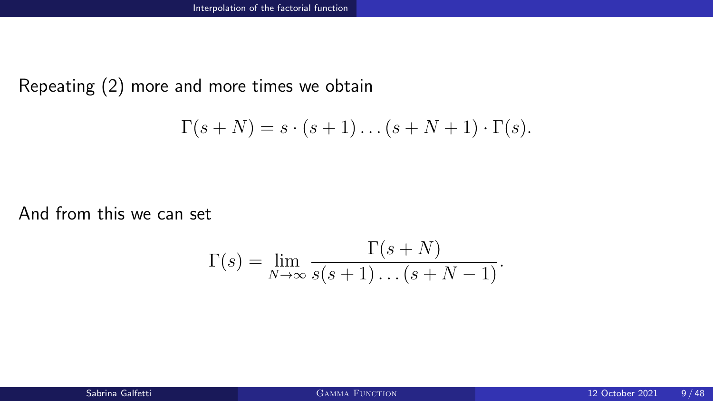Repeating [\(2\)](#page-6-0) more and more times we obtain

$$
\Gamma(s+N) = s \cdot (s+1) \dots (s+N+1) \cdot \Gamma(s).
$$

And from this we can set

$$
\Gamma(s) = \lim_{N \to \infty} \frac{\Gamma(s+N)}{s(s+1)\dots(s+N-1)}.
$$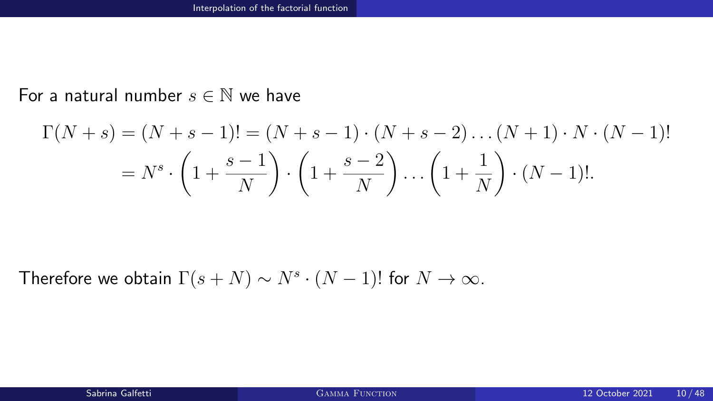#### For a natural number  $s \in \mathbb{N}$  we have

$$
\Gamma(N+s) = (N+s-1)! = (N+s-1) \cdot (N+s-2) \dots (N+1) \cdot N \cdot (N-1)!
$$
  
=  $N^s \cdot \left(1 + \frac{s-1}{N}\right) \cdot \left(1 + \frac{s-2}{N}\right) \dots \left(1 + \frac{1}{N}\right) \cdot (N-1)!$ 

Therefore we obtain  $\Gamma(s+N) \sim N^s \cdot (N-1)!$  for  $N \to \infty$ .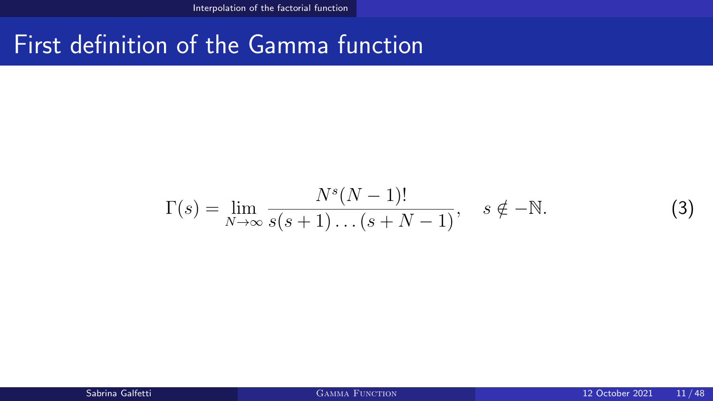### First definition of the Gamma function

<span id="page-10-0"></span>
$$
\Gamma(s) = \lim_{N \to \infty} \frac{N^s (N-1)!}{s(s+1) \dots (s+N-1)}, \quad s \notin -\mathbb{N}.
$$
 (3)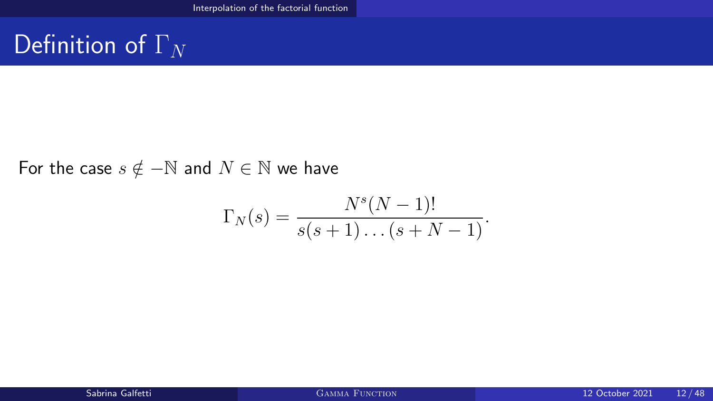## Definition of  $\Gamma_N$

For the case  $s \notin -\mathbb{N}$  and  $N \in \mathbb{N}$  we have

$$
\Gamma_N(s) = \frac{N^s (N-1)!}{s(s+1)\dots(s+N-1)}.
$$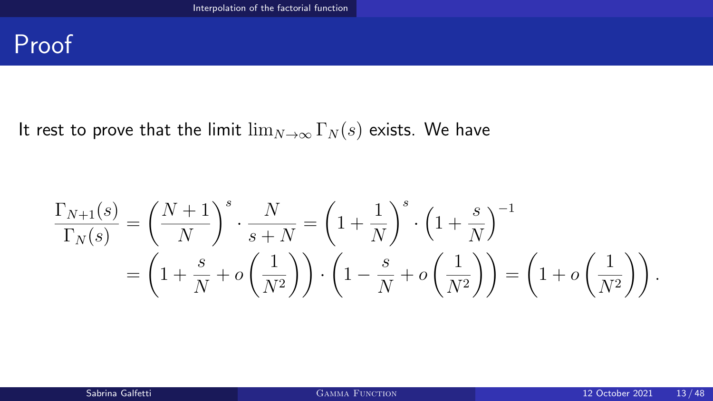#### Proof

#### It rest to prove that the limit  $\lim_{N\to\infty} \Gamma_N(s)$  exists. We have

$$
\frac{\Gamma_{N+1}(s)}{\Gamma_N(s)} = \left(\frac{N+1}{N}\right)^s \cdot \frac{N}{s+N} = \left(1 + \frac{1}{N}\right)^s \cdot \left(1 + \frac{s}{N}\right)^{-1}
$$
\n
$$
= \left(1 + \frac{s}{N} + o\left(\frac{1}{N^2}\right)\right) \cdot \left(1 - \frac{s}{N} + o\left(\frac{1}{N^2}\right)\right) = \left(1 + o\left(\frac{1}{N^2}\right)\right).
$$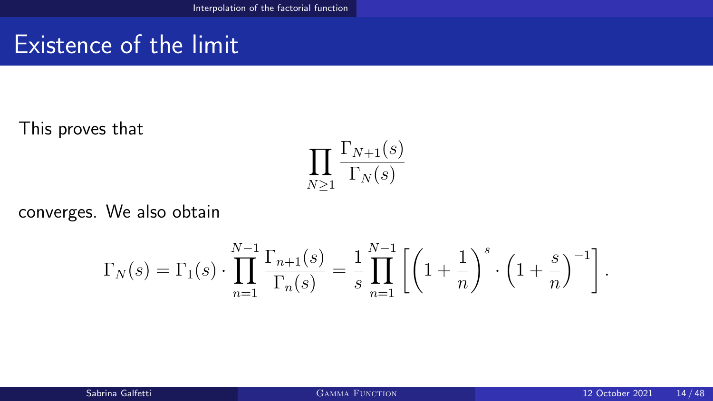## Existence of the limit

This proves that

$$
\prod_{N\geq 1} \frac{\Gamma_{N+1}(s)}{\Gamma_N(s)}
$$

converges. We also obtain

$$
\Gamma_N(s) = \Gamma_1(s) \cdot \prod_{n=1}^{N-1} \frac{\Gamma_{n+1}(s)}{\Gamma_n(s)} = \frac{1}{s} \prod_{n=1}^{N-1} \left[ \left( 1 + \frac{1}{n} \right)^s \cdot \left( 1 + \frac{s}{n} \right)^{-1} \right].
$$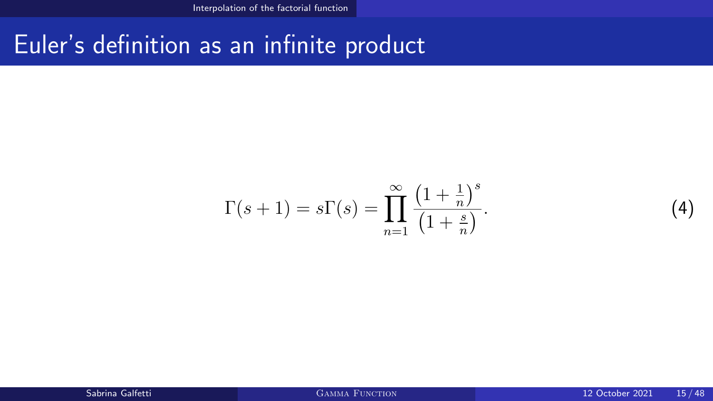#### Euler's definition as an infinite product

<span id="page-14-0"></span>
$$
\Gamma(s+1) = s\Gamma(s) = \prod_{n=1}^{\infty} \frac{\left(1 + \frac{1}{n}\right)^s}{\left(1 + \frac{s}{n}\right)}.
$$
\n
$$
(4)
$$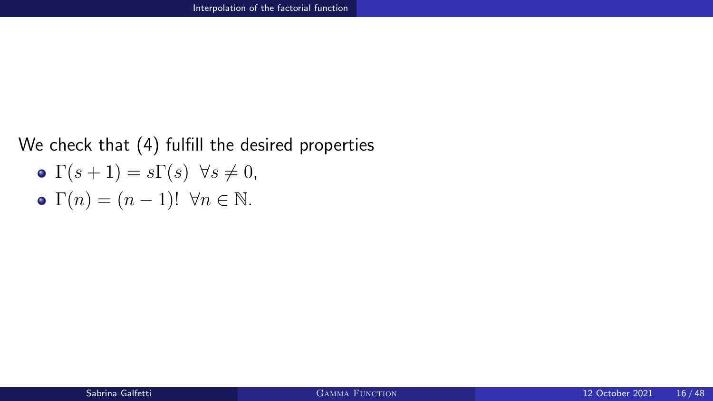#### We check that [\(4\)](#page-14-0) fulfill the desired properties

$$
\bullet \ \Gamma(s+1) = s\Gamma(s) \ \forall s \neq 0,
$$

• 
$$
\Gamma(n) = (n-1)!
$$
  $\forall n \in \mathbb{N}.$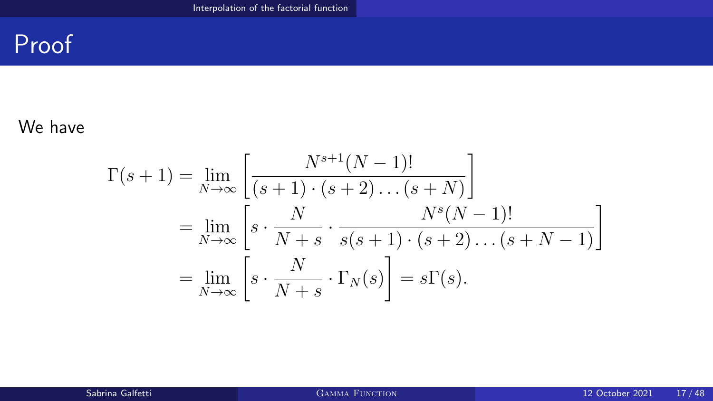## Proof

#### We have

$$
\Gamma(s+1) = \lim_{N \to \infty} \left[ \frac{N^{s+1}(N-1)!}{(s+1) \cdot (s+2) \dots (s+N)} \right]
$$
  
= 
$$
\lim_{N \to \infty} \left[ s \cdot \frac{N}{N+s} \cdot \frac{N^s(N-1)!}{s(s+1) \cdot (s+2) \dots (s+N-1)} \right]
$$
  
= 
$$
\lim_{N \to \infty} \left[ s \cdot \frac{N}{N+s} \cdot \Gamma_N(s) \right] = s\Gamma(s).
$$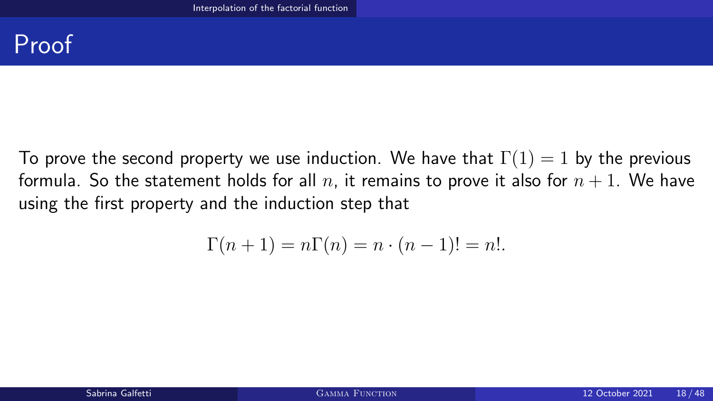#### Proof

To prove the second property we use induction. We have that  $\Gamma(1) = 1$  by the previous formula. So the statement holds for all n, it remains to prove it also for  $n + 1$ . We have using the first property and the induction step that

$$
\Gamma(n+1) = n\Gamma(n) = n \cdot (n-1)! = n!.
$$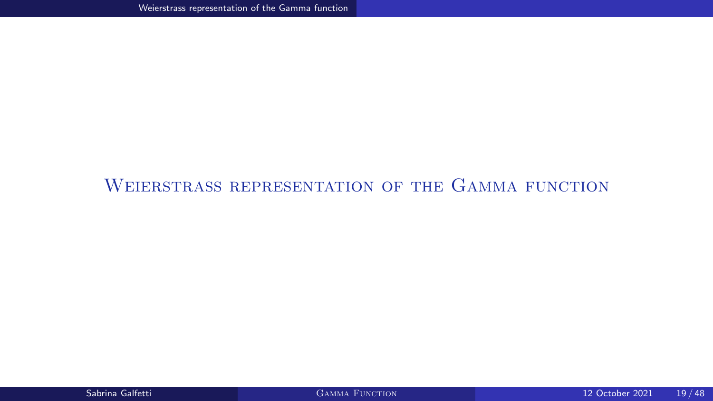#### <span id="page-18-0"></span>[Weierstrass representation of the Gamma function](#page-18-0)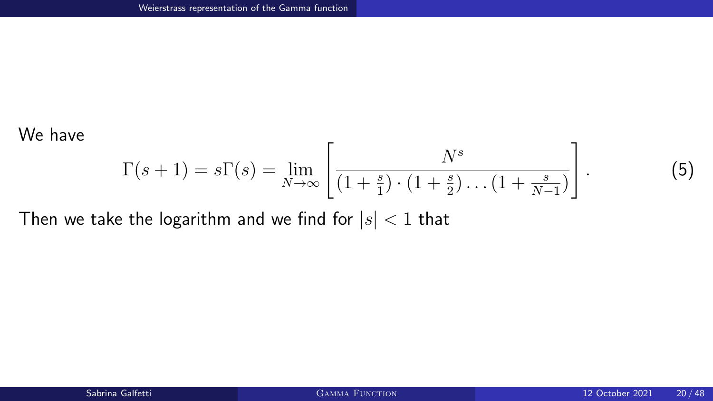#### We have

<span id="page-19-0"></span>
$$
\Gamma(s+1) = s\Gamma(s) = \lim_{N \to \infty} \left[ \frac{N^s}{\left(1 + \frac{s}{1}\right) \cdot \left(1 + \frac{s}{2}\right) \dots \left(1 + \frac{s}{N-1}\right)} \right].
$$

Then we take the logarithm and we find for  $|s| < 1$  that

 $(5)$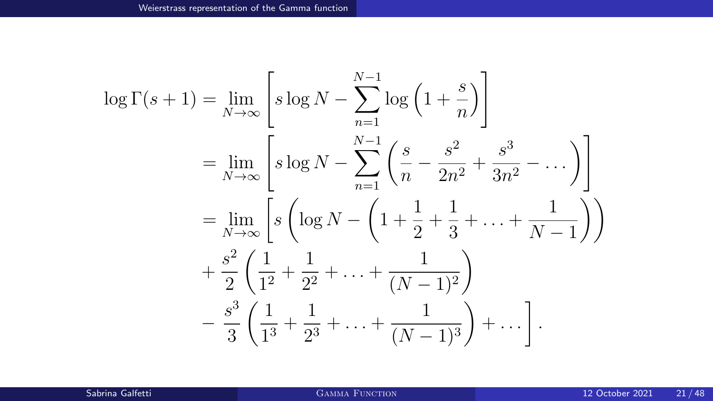$$
\log \Gamma(s+1) = \lim_{N \to \infty} \left[ s \log N - \sum_{n=1}^{N-1} \log \left( 1 + \frac{s}{n} \right) \right]
$$
  
= 
$$
\lim_{N \to \infty} \left[ s \log N - \sum_{n=1}^{N-1} \left( \frac{s}{n} - \frac{s^2}{2n^2} + \frac{s^3}{3n^2} - \dots \right) \right]
$$
  
= 
$$
\lim_{N \to \infty} \left[ s \left( \log N - \left( 1 + \frac{1}{2} + \frac{1}{3} + \dots + \frac{1}{N-1} \right) \right) + \frac{s^2}{2} \left( \frac{1}{1^2} + \frac{1}{2^2} + \dots + \frac{1}{(N-1)^2} \right) - \frac{s^3}{3} \left( \frac{1}{1^3} + \frac{1}{2^3} + \dots + \frac{1}{(N-1)^3} \right) + \dots \right].
$$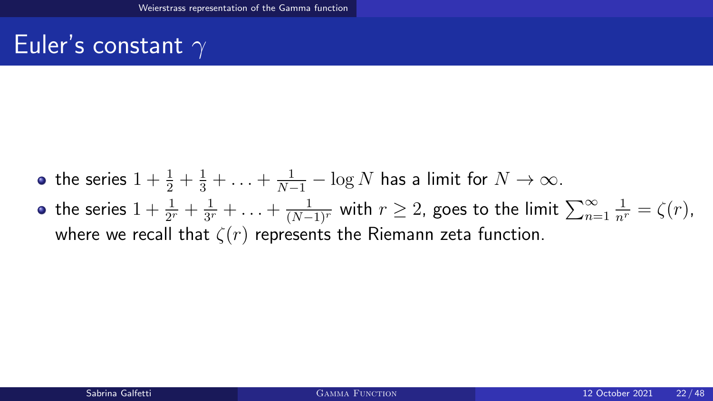## Euler's constant  $\gamma$

- the series  $1 + \frac{1}{2} + \frac{1}{3} + \ldots + \frac{1}{N-1} \log N$  has a limit for  $N \to \infty$ .
- the series  $1+\frac{1}{2^r}+\frac{1}{3^r}$  $\frac{1}{3^r}+\ldots+\frac{1}{(N-1)^r}$  with  $r\geq 2$ , goes to the limit  $\sum_{n=1}^\infty$  $\frac{1}{n^r} = \zeta(r)$ , where we recall that  $\zeta(r)$  represents the Riemann zeta function.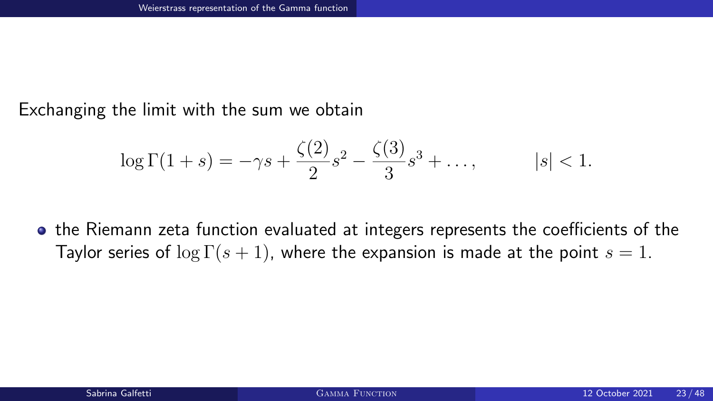Exchanging the limit with the sum we obtain

$$
\log \Gamma(1+s) = -\gamma s + \frac{\zeta(2)}{2} s^2 - \frac{\zeta(3)}{3} s^3 + \dots, \qquad |s| < 1.
$$

the Riemann zeta function evaluated at integers represents the coefficients of the Taylor series of  $\log \Gamma(s + 1)$ , where the expansion is made at the point  $s = 1$ .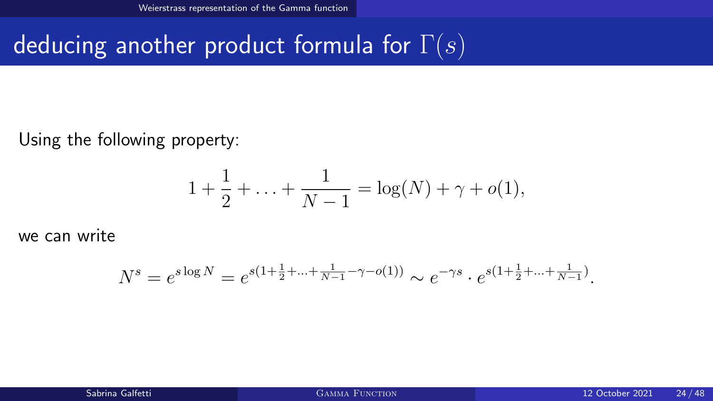## deducing another product formula for  $\Gamma(s)$

Using the following property:

$$
1 + \frac{1}{2} + \ldots + \frac{1}{N-1} = \log(N) + \gamma + o(1),
$$

we can write

$$
N^{s} = e^{s \log N} = e^{s(1 + \frac{1}{2} + \dots + \frac{1}{N-1} - \gamma - o(1))} \sim e^{-\gamma s} \cdot e^{s(1 + \frac{1}{2} + \dots + \frac{1}{N-1})}.
$$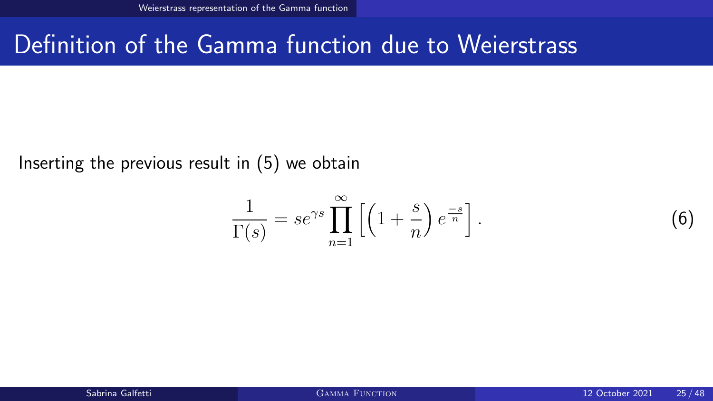#### Definition of the Gamma function due to Weierstrass

Inserting the previous result in [\(5\)](#page-19-0) we obtain

<span id="page-24-0"></span>
$$
\frac{1}{\Gamma(s)} = s e^{\gamma s} \prod_{n=1}^{\infty} \left[ \left( 1 + \frac{s}{n} \right) e^{\frac{-s}{n}} \right].
$$

 $(6)$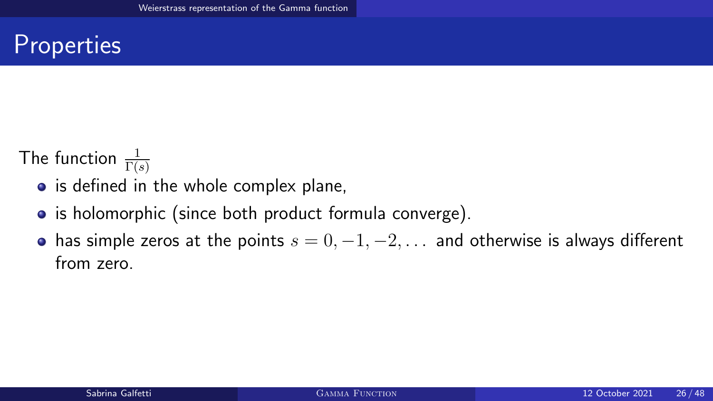## **Properties**

The function  $\frac{1}{\Gamma(s)}$ 

- is defined in the whole complex plane,
- is holomorphic (since both product formula converge).
- has simple zeros at the points  $s = 0, -1, -2, \ldots$  and otherwise is always different from zero.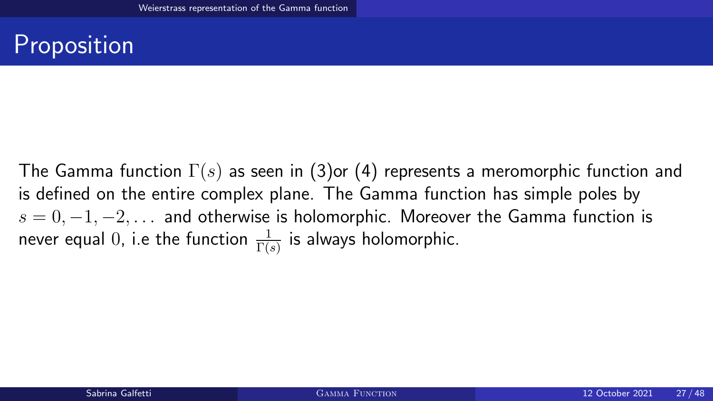## Proposition

The Gamma function  $\Gamma(s)$  as seen in [\(3\)](#page-10-0)or [\(4\)](#page-14-0) represents a meromorphic function and is defined on the entire complex plane. The Gamma function has simple poles by  $s = 0, -1, -2, \ldots$  and otherwise is holomorphic. Moreover the Gamma function is never equal  $0$ , i.e the function  $\frac{1}{\Gamma(s)}$  is always holomorphic.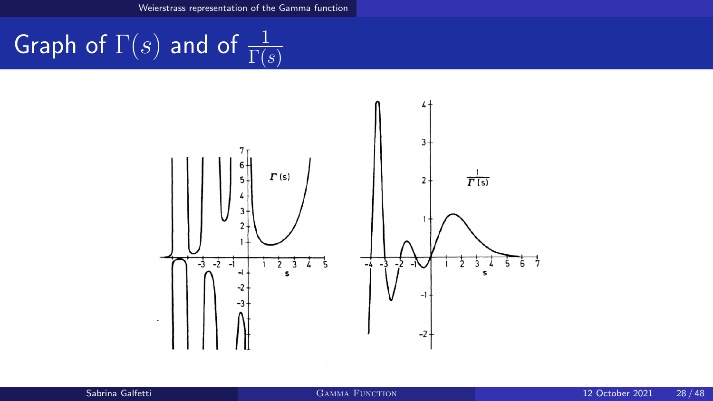[Weierstrass representation of the Gamma function](#page-18-0)

# Graph of  $\Gamma(s)$  and of  $\frac{1}{\Gamma(s)}$

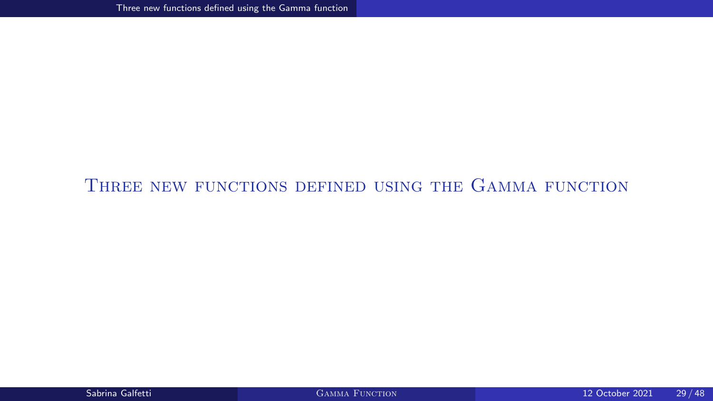#### <span id="page-28-0"></span>THREE NEW FUNCTIONS DEFINED USING THE GAMMA FUNCTION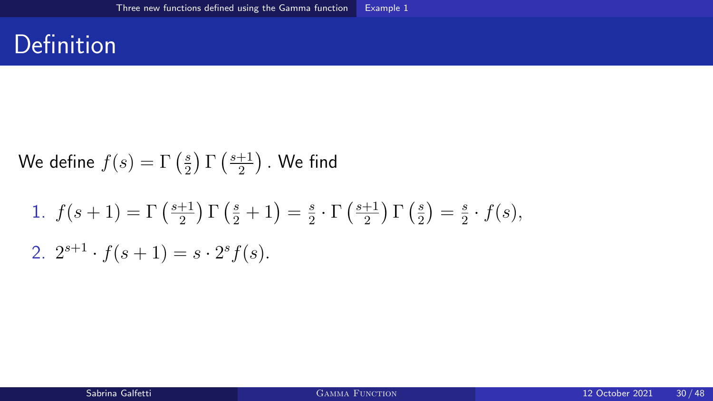#### <span id="page-29-0"></span>**Definition**

We define 
$$
f(s) = \Gamma\left(\frac{s}{2}\right) \Gamma\left(\frac{s+1}{2}\right)
$$
. We find

1. 
$$
f(s+1) = \Gamma\left(\frac{s+1}{2}\right) \Gamma\left(\frac{s}{2}+1\right) = \frac{s}{2} \cdot \Gamma\left(\frac{s+1}{2}\right) \Gamma\left(\frac{s}{2}\right) = \frac{s}{2} \cdot f(s),
$$
  
2.  $2^{s+1} \cdot f(s+1) = s \cdot 2^s f(s).$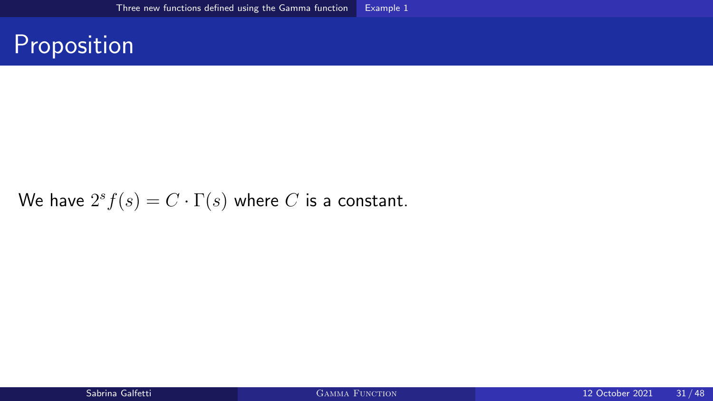#### Proposition

We have  $2^sf(s)=C\cdot\Gamma(s)$  where  $C$  is a constant.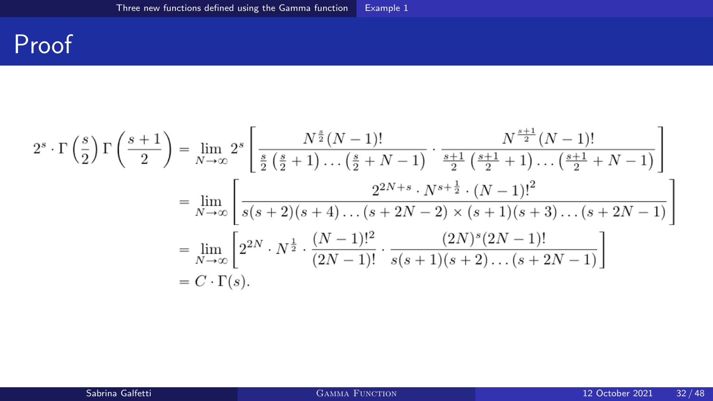#### Proof

$$
2^{s} \cdot \Gamma\left(\frac{s}{2}\right) \Gamma\left(\frac{s+1}{2}\right) = \lim_{N \to \infty} 2^{s} \left[ \frac{N^{\frac{s}{2}}(N-1)!}{\frac{s}{2}\left(\frac{s}{2}+1\right)\dots\left(\frac{s}{2}+N-1\right)} \cdot \frac{N^{\frac{s+1}{2}}(N-1)!}{\frac{s+1}{2}\left(\frac{s+1}{2}+1\right)\dots\left(\frac{s+1}{2}+N-1\right)} \right]
$$
  
\n
$$
= \lim_{N \to \infty} \left[ \frac{2^{2N+s} \cdot N^{s+\frac{1}{2}} \cdot (N-1)!^{2}}{s(s+2)(s+4)\dots(s+2N-2) \times (s+1)(s+3)\dots(s+2N-1)} \right]
$$
  
\n
$$
= \lim_{N \to \infty} \left[ 2^{2N} \cdot N^{\frac{1}{2}} \cdot \frac{(N-1)!^{2}}{(2N-1)!} \cdot \frac{(2N)^{s}(2N-1)!}{s(s+1)(s+2)\dots(s+2N-1)} \right]
$$
  
\n
$$
= C \cdot \Gamma(s).
$$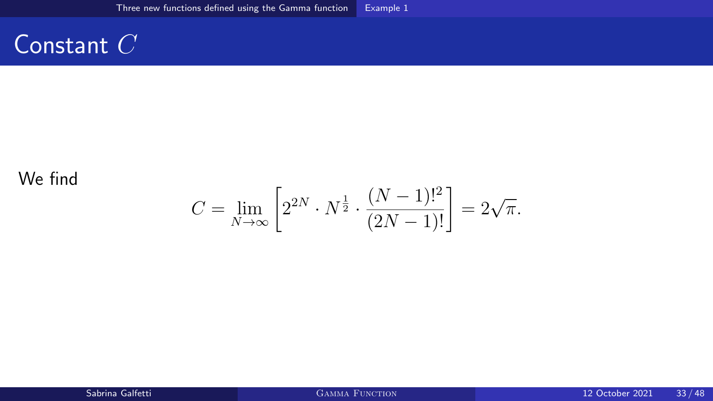#### Constant  $C$

#### We find

$$
C = \lim_{N \to \infty} \left[ 2^{2N} \cdot N^{\frac{1}{2}} \cdot \frac{(N-1)!^2}{(2N-1)!} \right] = 2\sqrt{\pi}.
$$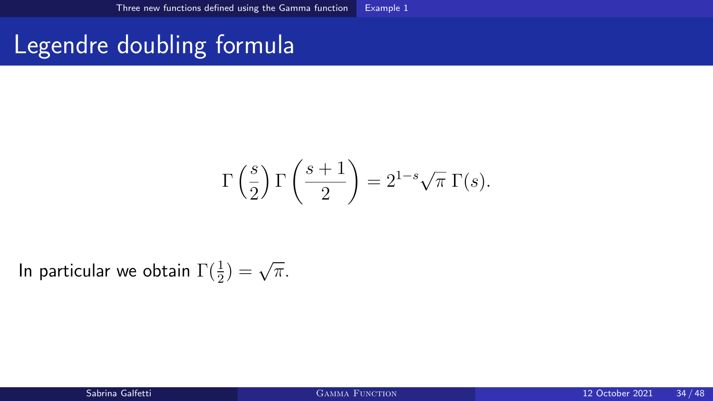## Legendre doubling formula

$$
\Gamma\left(\frac{s}{2}\right)\Gamma\left(\frac{s+1}{2}\right) = 2^{1-s}\sqrt{\pi} \Gamma(s).
$$

In particular we obtain  $\Gamma(\frac{1}{2}) = \sqrt{\pi}$ .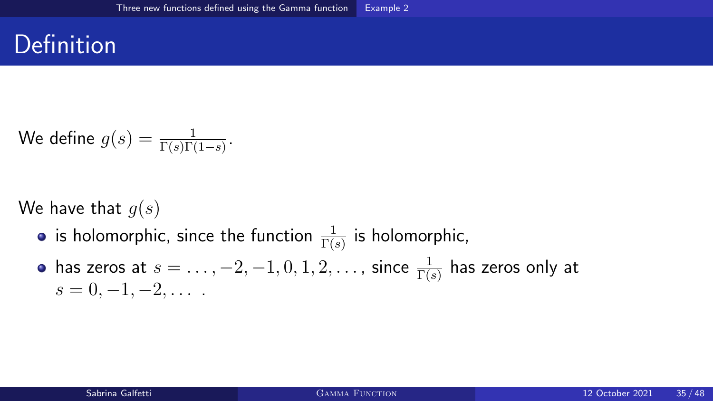### <span id="page-34-0"></span>Definition

We define 
$$
g(s) = \frac{1}{\Gamma(s)\Gamma(1-s)}
$$
.

We have that  $q(s)$ 

- is holomorphic, since the function  $\frac{1}{\Gamma(s)}$  is holomorphic,
- has zeros at  $s=\ldots,-2,-1,0,1,2,\ldots$  , since  $\frac{1}{\Gamma(s)}$  has zeros only at  $s = 0, -1, -2, \ldots$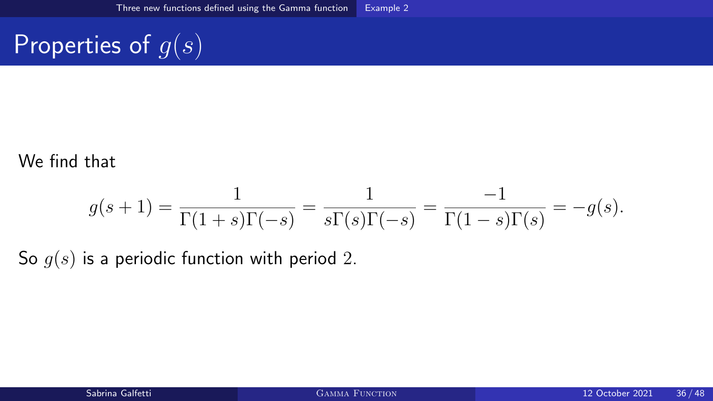## Properties of  $g(s)$

#### We find that

$$
g(s+1) = \frac{1}{\Gamma(1+s)\Gamma(-s)} = \frac{1}{s\Gamma(s)\Gamma(-s)} = \frac{-1}{\Gamma(1-s)\Gamma(s)} = -g(s).
$$

So  $g(s)$  is a periodic function with period 2.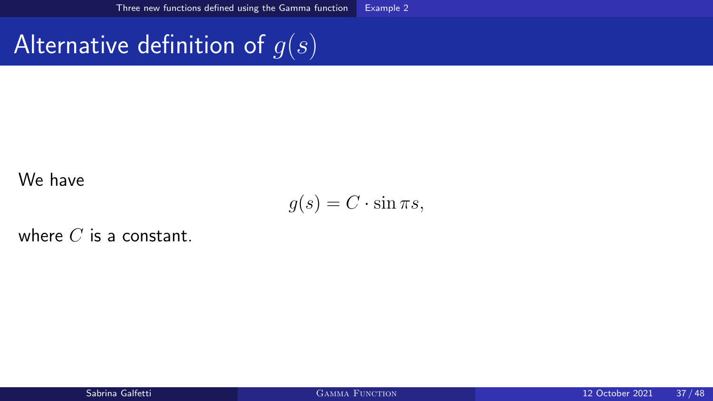## Alternative definition of  $g(s)$

#### We have

$$
g(s) = C \cdot \sin \pi s,
$$

where  $C$  is a constant.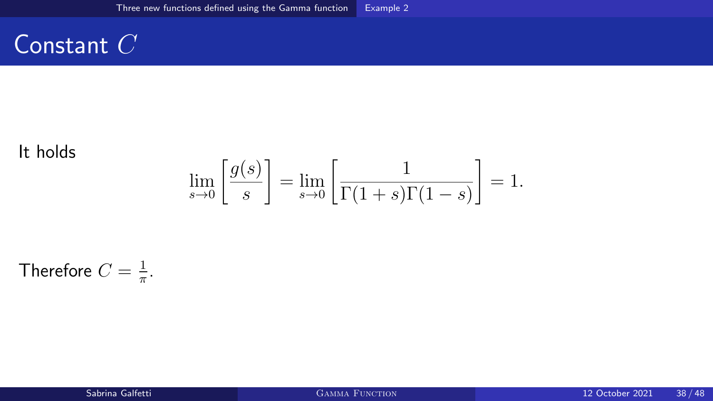#### Constant C

#### It holds

$$
\lim_{s \to 0} \left[ \frac{g(s)}{s} \right] = \lim_{s \to 0} \left[ \frac{1}{\Gamma(1+s)\Gamma(1-s)} \right] = 1.
$$

Therefore  $C=\frac{1}{\pi}$  $\frac{1}{\pi}$ .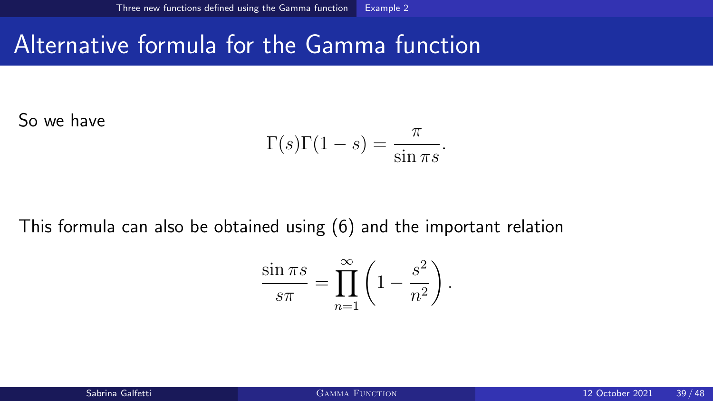#### Alternative formula for the Gamma function

So we have

$$
\Gamma(s)\Gamma(1-s) = \frac{\pi}{\sin \pi s}.
$$

This formula can also be obtained using [\(6\)](#page-24-0) and the important relation

$$
\frac{\sin \pi s}{s\pi} = \prod_{n=1}^{\infty} \left( 1 - \frac{s^2}{n^2} \right).
$$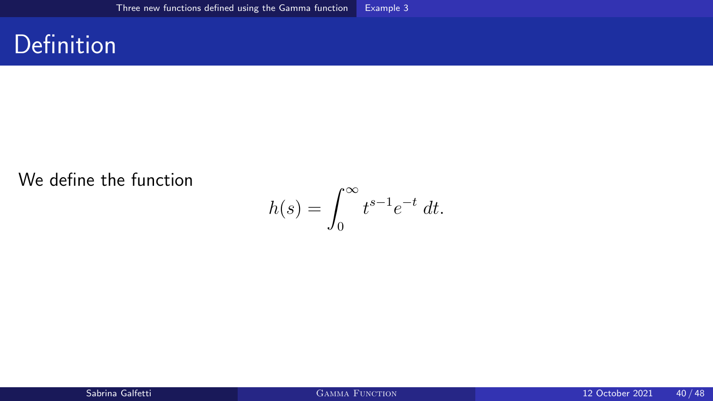#### <span id="page-39-0"></span>Definition

#### We define the function

$$
h(s) = \int_0^\infty t^{s-1} e^{-t} dt.
$$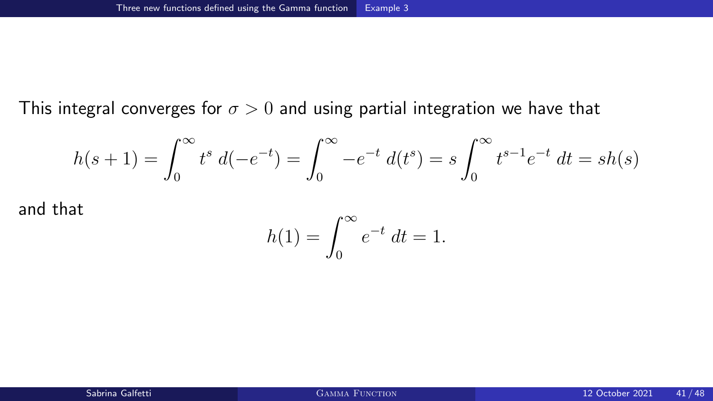This integral converges for  $\sigma > 0$  and using partial integration we have that

$$
h(s+1) = \int_0^\infty t^s \ d(-e^{-t}) = \int_0^\infty -e^{-t} \ d(t^s) = s \int_0^\infty t^{s-1} e^{-t} \ dt = sh(s)
$$

and that

$$
h(1) = \int_0^\infty e^{-t} \, dt = 1.
$$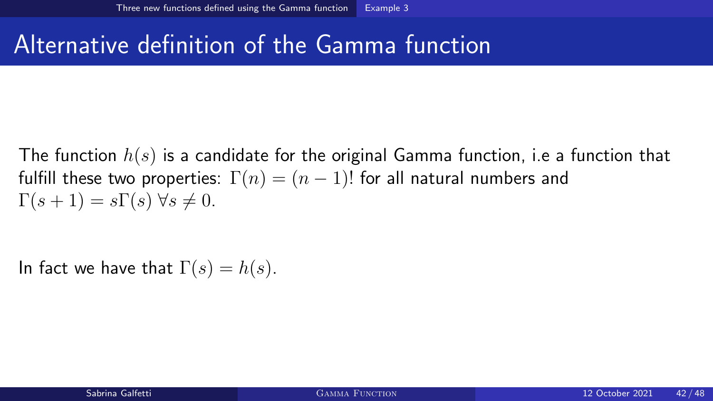## Alternative definition of the Gamma function

The function  $h(s)$  is a candidate for the original Gamma function, i.e a function that fulfill these two properties:  $\Gamma(n) = (n-1)!$  for all natural numbers and  $\Gamma(s+1) = s\Gamma(s)$   $\forall s \neq 0$ .

In fact we have that  $\Gamma(s) = h(s)$ .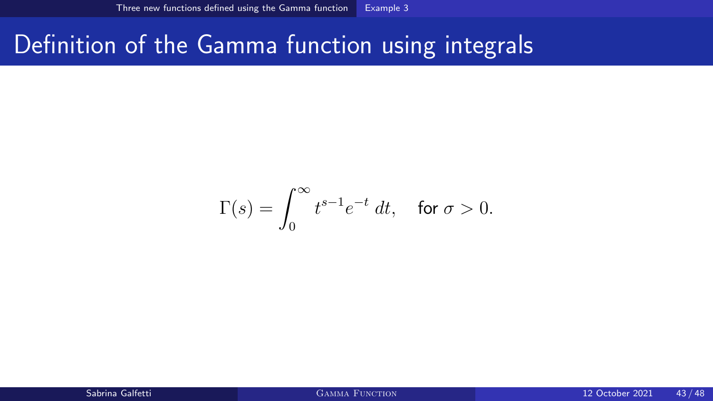## Definition of the Gamma function using integrals

$$
\Gamma(s) = \int_0^\infty t^{s-1} e^{-t} \ dt, \quad \text{for } \sigma > 0.
$$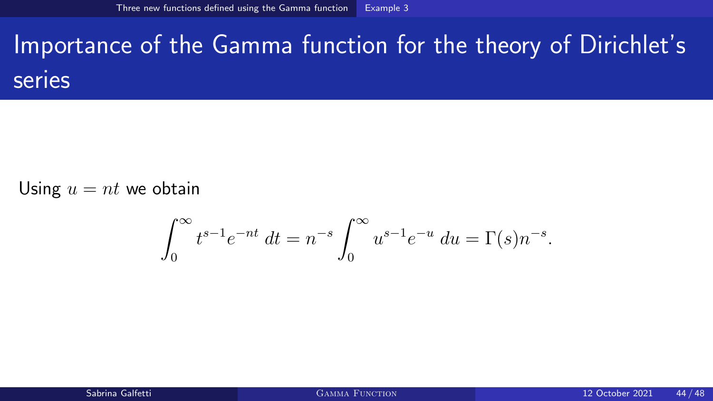# Importance of the Gamma function for the theory of Dirichlet's series

Using  $u = nt$  we obtain

$$
\int_0^\infty t^{s-1} e^{-nt} dt = n^{-s} \int_0^\infty u^{s-1} e^{-u} du = \Gamma(s) n^{-s}.
$$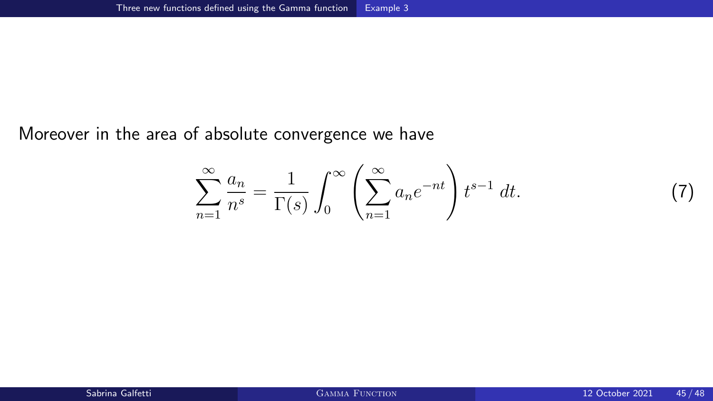Moreover in the area of absolute convergence we have

$$
\sum_{n=1}^{\infty} \frac{a_n}{n^s} = \frac{1}{\Gamma(s)} \int_0^{\infty} \left( \sum_{n=1}^{\infty} a_n e^{-nt} \right) t^{s-1} dt.
$$

 $(7)$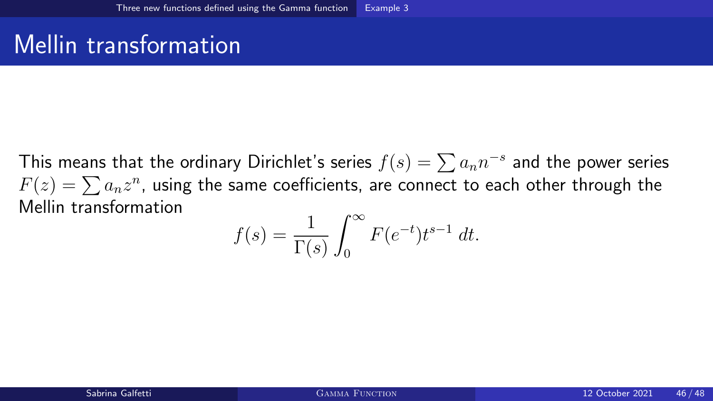### Mellin transformation

This means that the ordinary Dirichlet's series  $f(s)=\sum a_nn^{-s}$  and the power series  $F(z)=\sum a_n z^n$ , using the same coefficients, are connect to each other through the Mellin transformation

$$
f(s) = \frac{1}{\Gamma(s)} \int_0^\infty F(e^{-t}) t^{s-1} dt.
$$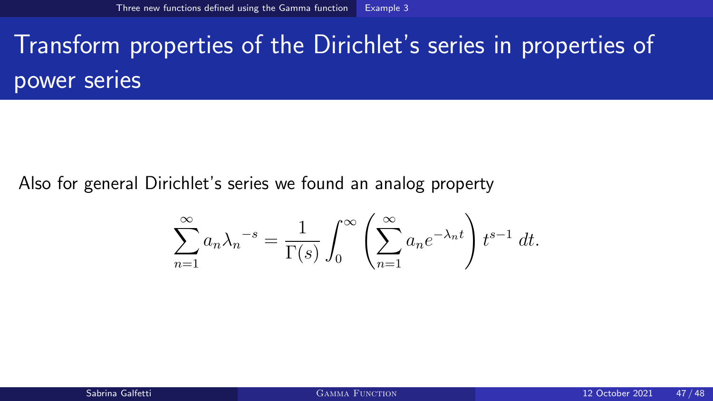# Transform properties of the Dirichlet's series in properties of power series

Also for general Dirichlet's series we found an analog property

$$
\sum_{n=1}^{\infty} a_n \lambda_n^{-s} = \frac{1}{\Gamma(s)} \int_0^{\infty} \left( \sum_{n=1}^{\infty} a_n e^{-\lambda_n t} \right) t^{s-1} dt.
$$